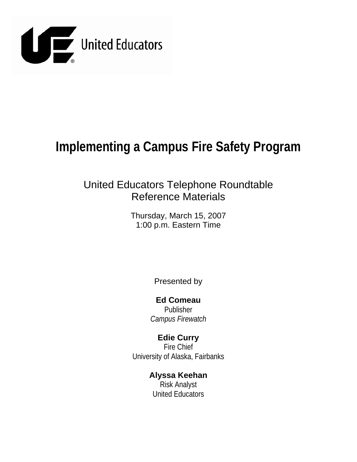

# **Implementing a Campus Fire Safety Program**

# United Educators Telephone Roundtable Reference Materials

Thursday, March 15, 2007 1:00 p.m. Eastern Time

Presented by

**Ed Comeau**  Publisher *Campus Firewatch*

**Edie Curry**  Fire Chief University of Alaska, Fairbanks

> **Alyssa Keehan**  Risk Analyst United Educators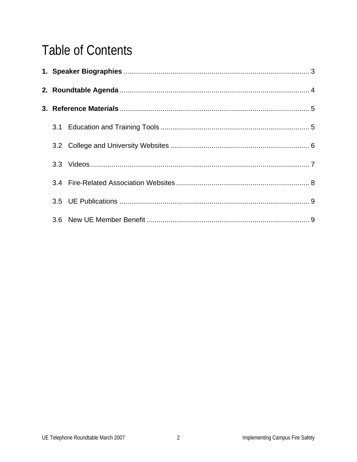# **Table of Contents**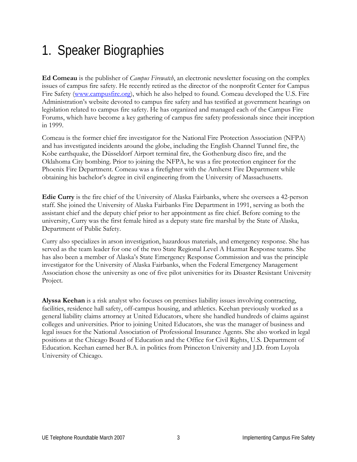# 1. Speaker Biographies

**Ed Comeau** is the publisher of *Campus Firewatch*, an electronic newsletter focusing on the complex issues of campus fire safety. He recently retired as the director of the nonprofit Center for Campus Fire Safety (www.campusfire.org), which he also helped to found. Comeau developed the U.S. Fire Administration's website devoted to campus fire safety and has testified at government hearings on legislation related to campus fire safety. He has organized and managed each of the Campus Fire Forums, which have become a key gathering of campus fire safety professionals since their inception in 1999.

Comeau is the former chief fire investigator for the National Fire Protection Association (NFPA) and has investigated incidents around the globe, including the English Channel Tunnel fire, the Kobe earthquake, the Düsseldorf Airport terminal fire, the Gothenburg disco fire, and the Oklahoma City bombing. Prior to joining the NFPA, he was a fire protection engineer for the Phoenix Fire Department. Comeau was a firefighter with the Amherst Fire Department while obtaining his bachelor's degree in civil engineering from the University of Massachusetts.

**Edie Curry** is the fire chief of the University of Alaska Fairbanks, where she oversees a 42-person staff. She joined the University of Alaska Fairbanks Fire Department in 1991, serving as both the assistant chief and the deputy chief prior to her appointment as fire chief. Before coming to the university, Curry was the first female hired as a deputy state fire marshal by the State of Alaska, Department of Public Safety.

Curry also specializes in arson investigation, hazardous materials, and emergency response. She has served as the team leader for one of the two State Regional Level A Hazmat Response teams. She has also been a member of Alaska's State Emergency Response Commission and was the principle investigator for the University of Alaska Fairbanks, when the Federal Emergency Management Association chose the university as one of five pilot universities for its Disaster Resistant University Project.

**Alyssa Keehan** is a risk analyst who focuses on premises liability issues involving contracting, facilities, residence hall safety, off-campus housing, and athletics. Keehan previously worked as a general liability claims attorney at United Educators, where she handled hundreds of claims against colleges and universities. Prior to joining United Educators, she was the manager of business and legal issues for the National Association of Professional Insurance Agents. She also worked in legal positions at the Chicago Board of Education and the Office for Civil Rights, U.S. Department of Education. Keehan earned her B.A. in politics from Princeton University and J.D. from Loyola University of Chicago.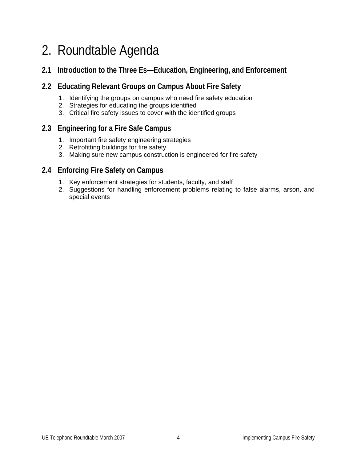# 2. Roundtable Agenda

## **2.1 Introduction to the Three Es—Education, Engineering, and Enforcement**

## **2.2 Educating Relevant Groups on Campus About Fire Safety**

- 1. Identifying the groups on campus who need fire safety education
- 2. Strategies for educating the groups identified
- 3. Critical fire safety issues to cover with the identified groups

## **2.3 Engineering for a Fire Safe Campus**

- 1. Important fire safety engineering strategies
- 2. Retrofitting buildings for fire safety
- 3. Making sure new campus construction is engineered for fire safety

## **2.4 Enforcing Fire Safety on Campus**

- 1. Key enforcement strategies for students, faculty, and staff
- 2. Suggestions for handling enforcement problems relating to false alarms, arson, and special events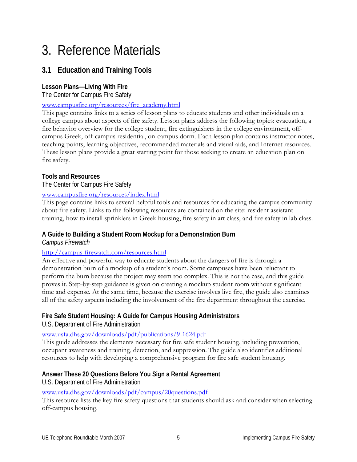# 3. Reference Materials

## **3.1 Education and Training Tools**

## **Lesson Plans—Living With Fire**

The Center for Campus Fire Safety

## www.campusfire.org/resources/fire\_academy.html

This page contains links to a series of lesson plans to educate students and other individuals on a college campus about aspects of fire safety. Lesson plans address the following topics: evacuation, a fire behavior overview for the college student, fire extinguishers in the college environment, offcampus Greek, off-campus residential, on-campus dorm. Each lesson plan contains instructor notes, teaching points, learning objectives, recommended materials and visual aids, and Internet resources. These lesson plans provide a great starting point for those seeking to create an education plan on fire safety.

## **Tools and Resources**

## The Center for Campus Fire Safety

## www.campusfire.org/resources/index.html

This page contains links to several helpful tools and resources for educating the campus community about fire safety. Links to the following resources are contained on the site: resident assistant training, how to install sprinklers in Greek housing, fire safety in art class, and fire safety in lab class.

## **A Guide to Building a Student Room Mockup for a Demonstration Burn**

*Campus Firewatch* 

## http://campus-firewatch.com/resources.html

An effective and powerful way to educate students about the dangers of fire is through a demonstration burn of a mockup of a student's room. Some campuses have been reluctant to perform the burn because the project may seem too complex. This is not the case, and this guide proves it. Step-by-step guidance is given on creating a mockup student room without significant time and expense. At the same time, because the exercise involves live fire, the guide also examines all of the safety aspects including the involvement of the fire department throughout the exercise.

## **Fire Safe Student Housing: A Guide for Campus Housing Administrators**

U.S. Department of Fire Administration

www.usfa.dhs.gov/downloads/pdf/publications/9-1624.pdf

This guide addresses the elements necessary for fire safe student housing, including prevention, occupant awareness and training, detection, and suppression. The guide also identifies additional resources to help with developing a comprehensive program for fire safe student housing.

## **Answer These 20 Questions Before You Sign a Rental Agreement**

U.S. Department of Fire Administration

## www.usfa.dhs.gov/downloads/pdf/campus/20questions.pdf

This resource lists the key fire safety questions that students should ask and consider when selecting off-campus housing.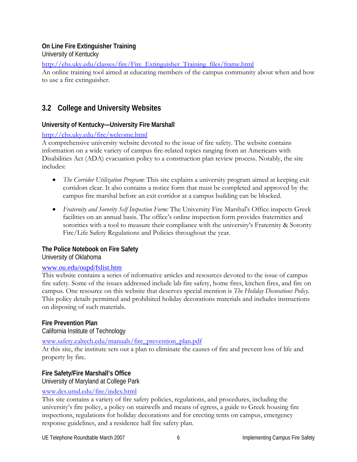## **On Line Fire Extinguisher Training**

University of Kentucky

http://ehs.uky.edu/classes/fire/Fire\_Extinguisher\_Training\_files/frame.html

An online training tool aimed at educating members of the campus community about when and how to use a fire extinguisher.

## **3.2 College and University Websites**

## **University of Kentucky—University Fire Marshall**

## http://ehs.uky.edu/fire/welcome.html

A comprehensive university website devoted to the issue of fire safety. The website contains information on a wide variety of campus fire-related topics ranging from an Americans with Disabilities Act (ADA) evacuation policy to a construction plan review process. Notably, the site includes:

- *The Corridor Utilization Program*: This site explains a university program aimed at keeping exit corridors clear. It also contains a notice form that must be completed and approved by the campus fire marshal before an exit corridor at a campus building can be blocked.
- *Fraternity and Sorority Self Inspection Form:* The University Fire Marshal's Office inspects Greek facilities on an annual basis. The office's online inspection form provides fraternities and sororities with a tool to measure their compliance with the university's Fraternity & Sorority Fire/Life Safety Regulations and Policies throughout the year.

## **The Police Notebook on Fire Safety**

University of Oklahoma

## www.ou.edu/oupd/fslist.htm

This website contains a series of informative articles and resources devoted to the issue of campus fire safety. Some of the issues addressed include lab fire safety, home fires, kitchen fires, and fire on campus. One resource on this website that deserves special mention is *The Holiday Decorations Policy.*  This policy details permitted and prohibited holiday decorations materials and includes instructions on disposing of such materials.

## **Fire Prevention Plan**

California Institute of Technology

## www.safety.caltech.edu/manuals/fire\_prevention\_plan.pdf

At this site, the institute sets out a plan to eliminate the causes of fire and prevent loss of life and property by fire.

## **Fire Safety/Fire Marshall's Office**

University of Maryland at College Park

## www.des.umd.edu/fire/index.html

This site contains a variety of fire safety policies, regulations, and procedures, including the university's fire policy, a policy on stairwells and means of egress, a guide to Greek housing fire inspections, regulations for holiday decorations and for erecting tents on campus, emergency response guidelines, and a residence hall fire safety plan.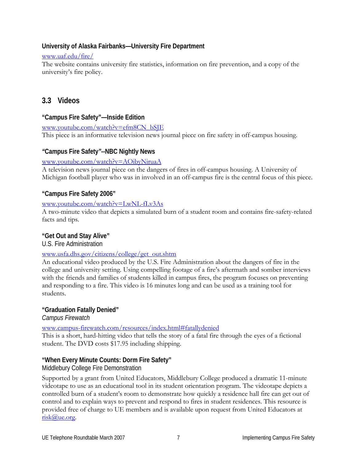## **University of Alaska Fairbanks—University Fire Department**

## www.uaf.edu/fire/

The website contains university fire statistics, information on fire prevention, and a copy of the university's fire policy.

## **3.3 Videos**

## **"Campus Fire Safety"—Inside Edition**

www.youtube.com/watch?v=efm8CN\_bSJE This piece is an informative television news journal piece on fire safety in off-campus housing.

## *"***Campus Fire Safety***"--***NBC Nightly News**

## www.youtube.com/watch?v=AOibyNiruaA

A television news journal piece on the dangers of fires in off-campus housing. A University of Michigan football player who was in involved in an off-campus fire is the central focus of this piece.

## **"Campus Fire Safety 2006"**

## www.youtube.com/watch?v=LwNL-fLv3As

A two-minute video that depicts a simulated burn of a student room and contains fire-safety-related facts and tips.

## **"Get Out and Stay Alive"**

U.S. Fire Administration

## www.usfa.dhs.gov/citizens/college/get\_out.shtm

An educational video produced by the U.S. Fire Administration about the dangers of fire in the college and university setting. Using compelling footage of a fire's aftermath and somber interviews with the friends and families of students killed in campus fires, the program focuses on preventing and responding to a fire. This video is 16 minutes long and can be used as a training tool for students.

## **"Graduation Fatally Denied"**

*Campus Firewatch*

www.campus-firewatch.com/resources/index.html#fatallydenied

This is a short, hard-hitting video that tells the story of a fatal fire through the eyes of a fictional student. The DVD costs \$17.95 including shipping.

## **"When Every Minute Counts: Dorm Fire Safety"**

Middlebury College Fire Demonstration

Supported by a grant from United Educators, Middlebury College produced a dramatic 11-minute videotape to use as an educational tool in its student orientation program. The videotape depicts a controlled burn of a student's room to demonstrate how quickly a residence hall fire can get out of control and to explain ways to prevent and respond to fires in student residences. This resource is provided free of charge to UE members and is available upon request from United Educators at risk@ue.org.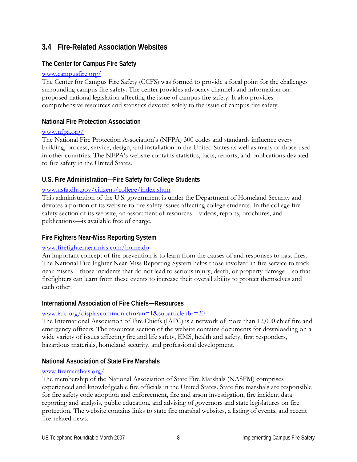## **3.4 Fire-Related Association Websites**

## **The Center for Campus Fire Safety**

## www.campusfire.org/

The Center for Campus Fire Safety (CCFS) was formed to provide a focal point for the challenges surrounding campus fire safety. The center provides advocacy channels and information on proposed national legislation affecting the issue of campus fire safety. It also provides comprehensive resources and statistics devoted solely to the issue of campus fire safety.

## **National Fire Protection Association**

## www.nfpa.org/

The National Fire Protection Association's (NFPA) 300 codes and standards influence every building, process, service, design, and installation in the United States as well as many of those used in other countries. The NFPA's website contains statistics, facts, reports, and publications devoted to fire safety in the United States.

## **U.S. Fire Administration—Fire Safety for College Students**

## www.usfa.dhs.gov/citizens/college/index.shtm

This administration of the U.S. government is under the Department of Homeland Security and devotes a portion of its website to fire safety issues affecting college students. In the college fire safety section of its website, an assortment of resources—videos, reports, brochures, and publications—is available free of charge.

## **Fire Fighters Near-Miss Reporting System**

## www.firefighternearmiss.com/home.do

An important concept of fire prevention is to learn from the causes of and responses to past fires. The National Fire Fighter Near-Miss Reporting System helps those involved in fire service to track near misses—those incidents that do not lead to serious injury, death, or property damage—so that firefighters can learn from these events to increase their overall ability to protect themselves and each other.

## **International Association of Fire Chiefs—Resources**

## www.iafc.org/displaycommon.cfm?an=1&subarticlenbr=20

The International Association of Fire Chiefs (IAFC) is a network of more than 12,000 chief fire and emergency officers. The resources section of the website contains documents for downloading on a wide variety of issues affecting fire and life safety, EMS, health and safety, first responders, hazardous materials, homeland security, and professional development.

## **National Association of State Fire Marshals**

## www.firemarshals.org/

The membership of the National Association of State Fire Marshals (NASFM) comprises experienced and knowledgeable fire officials in the United States. State fire marshals are responsible for fire safety code adoption and enforcement, fire and arson investigation, fire incident data reporting and analysis, public education, and advising of governors and state legislatures on fire protection. The website contains links to state fire marshal websites, a listing of events, and recent fire-related news.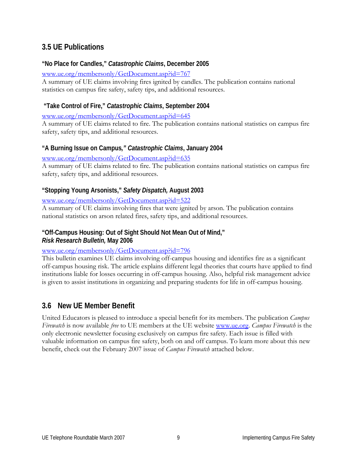## **3.5 UE Publications**

## **"No Place for Candles,"** *Catastrophic Claims***, December 2005**

www.ue.org/membersonly/GetDocument.asp?id=767

A summary of UE claims involving fires ignited by candles. The publication contains national statistics on campus fire safety, safety tips, and additional resources.

## **"Take Control of Fire,"** *Catastrophic Claims***, September 2004**

www.ue.org/membersonly/GetDocument.asp?id=645

A summary of UE claims related to fire. The publication contains national statistics on campus fire safety, safety tips, and additional resources.

## **"A Burning Issue on Campus***," Catastrophic Claims***, January 2004**

www.ue.org/membersonly/GetDocument.asp?id=635

A summary of UE claims related to fire. The publication contains national statistics on campus fire safety, safety tips, and additional resources.

## **"Stopping Young Arsonists,"** *Safety Dispatch,* **August 2003**

## www.ue.org/membersonly/GetDocument.asp?id=522

A summary of UE claims involving fires that were ignited by arson. The publication contains national statistics on arson related fires, safety tips, and additional resources.

## **"Off-Campus Housing: Out of Sight Should Not Mean Out of Mind,"**  *Risk Research Bulletin,* **May 2006**

## www.ue.org/membersonly/GetDocument.asp?id=796

This bulletin examines UE claims involving off-campus housing and identifies fire as a significant off-campus housing risk. The article explains different legal theories that courts have applied to find institutions liable for losses occurring in off-campus housing. Also, helpful risk management advice is given to assist institutions in organizing and preparing students for life in off-campus housing.

## **3.6 New UE Member Benefit**

United Educators is pleased to introduce a special benefit for its members. The publication *Campus Firewatch* is now available *free* to UE members at the UE website www.ue.org. *Campus Firewatch* is the only electronic newsletter focusing exclusively on campus fire safety. Each issue is filled with valuable information on campus fire safety, both on and off campus. To learn more about this new benefit, check out the February 2007 issue of *Campus Firewatch* attached below.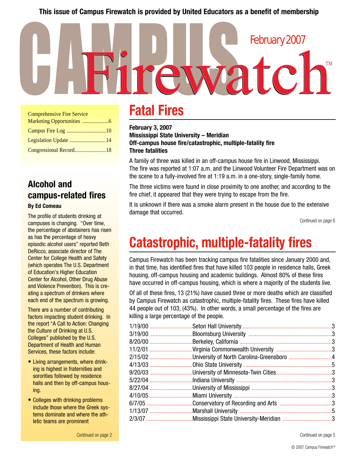## **This issue of Campus Firewatch is provided by United Educators as a benefit of membership**

| <b>Comprehensive Fire Service</b> |  |  |  |  |
|-----------------------------------|--|--|--|--|
|                                   |  |  |  |  |
|                                   |  |  |  |  |
|                                   |  |  |  |  |
| Congressional Record18            |  |  |  |  |

## **Alcohol and campus-related fires By Ed Comeau**

The profile of students drinking at campuses is changing. "Over time, the percentage of abstainers has risen as has the percentage of heavy episodic alcohol users" reported Beth DeRicco, associate director of The Center for College Health and Safety (which operates The U.S. Department of Education's Higher Education Center for Alcohol, Other Drug Abuse and Violence Prevention). This is creating a spectrum of drinkers where each end of the spectrum is growing.

There are a number of contributing factors impacting student drinking. In the report "A Call to Action: Changing the Culture of Drinking at U.S. Colleges" published by the U.S. Department of Health and Human Services, these factors include:

- Living arrangements, where drinking is highest in fraternities and sororities followed by residence halls and then by off-campus housing.
- Colleges with drinking problems include those where the Greek systems dominate and where the athletic teams are prominent

# **Fatal Fires**

 $\Box$ 

**February 3, 2007 Mississippi State University – Meridian Off-campus house fire/catastrophic, multiple-fatality fire Three fatalities**

**IXZQ** 

A family of three was killed in an off-campus house fire in Linwood, Mississippi. The fire was reported at 1:07 a.m. and the Linwood Volunteer Fire Department was on the scene to a fully-involved fire at 1:19 a.m. in a one-story, single-family home.

The three victims were found in close proximity to one another, and according to the fire chief, it appeared that they were trying to escape from the fire.

It is unknown if there was a smoke alarm present in the house due to the extensive damage that occurred.

Continued on page 6

TM

February 2007

# **Catastrophic, multiple-fatality fires**

Campus Firewatch has been tracking campus fire fatalities since January 2000 and, in that time, has identified fires that have killed 103 people in residence halls, Greek housing, off-campus housing and academic buildings. Almost 80% of these fires have occurred in off-campus housing, which is where a majority of the students live.

Of all of these fires, 13 (21%) have caused three or more deaths which are classified by Campus Firewatch as catastrophic, multiple-fatality fires. These fires have killed 44 people out of 103, (43%). In other words, a small percentage of the fires are killing a large percentage of the people.

| 2/15/02University of North Carolina-Greensboro4 |  |
|-------------------------------------------------|--|
|                                                 |  |
|                                                 |  |
|                                                 |  |
|                                                 |  |
|                                                 |  |
| 6/7/05 Conservatory of Recording and Arts 3     |  |
|                                                 |  |
| 2/3/07 Mississippi State University-Meridian 3  |  |
|                                                 |  |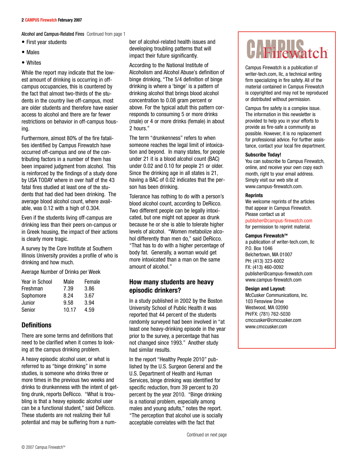Alcohol and Campus-Related Fires Continued from page 1

- First year students
- Males
- Whites

While the report may indicate that the lowest amount of drinking is occurring in offcampus occupancies, this is countered by the fact that almost two-thirds of the students in the country live off-campus, most are older students and therefore have easier access to alcohol and there are far fewer restrictions on behavior in off-campus housing.

Furthermore, almost 80% of the fire fatalities identified by Campus Firewatch have occurred off-campus and one of the contributing factors in a number of them has been impaired judgment from alcohol. This is reinforced by the findings of a study done by USA TODAY where in over half of the 43 fatal fires studied at least one of the students that had died had been drinking. The average blood alcohol count, where available, was 0.12 with a high of 0.304.

Even if the students living off-campus are drinking less than their peers on-campus or in Greek housing, the impact of their actions is clearly more tragic.

A survey by the Core Institute at Southern Illinois University provides a profile of who is drinking and how much.

Average Number of Drinks per Week

| Year in School | Male  | Female |
|----------------|-------|--------|
| Freshman       | 7.39  | 3.86   |
| Sophomore      | 8.24  | 3.67   |
| Junior         | 9.58  | 3.94   |
| Senior         | 10.17 | 4.59   |
|                |       |        |

## **Definitions**

There are some terms and definitions that need to be clarified when it comes to looking at the campus drinking problem.

A heavy episodic alcohol user, or what is referred to as "binge drinking" in some studies, is someone who drinks three or more times in the previous two weeks and drinks to drunkenness with the intent of getting drunk, reports DeRicco. "What is troubling is that a heavy episodic alcohol user can be a functional student," said DeRicco. These students are not realizing their full potential and may be suffering from a number of alcohol-related health issues and developing troubling patterns that will impact their future significantly.

According to the National Institute of Alcoholism and Alcohol Abuse's definition of binge drinking, "The 5/4 definition of binge drinking is where a 'binge' is a pattern of drinking alcohol that brings blood alcohol concentration to 0.08 gram percent or above. For the typical adult this pattern corresponds to consuming 5 or more drinks (male) or 4 or more drinks (female) in about 2 hours."

The term "drunkenness" refers to when someone reaches the legal limit of intoxication and beyond. In many states, for people under 21 it is a blood alcohol count (BAC) under 0.02 and 0.10 for people 21 or older. Since the drinking age in all states is 21, having a BAC of 0.02 indicates that the person has been drinking.

Tolerance has nothing to do with a person's blood alcohol count, according to DeRicco. Two different people can be legally intoxicated, but one might not appear as drunk because he or she is able to tolerate higher levels of alcohol. "Women metabolize alcohol differently than men do," said DeRicco. "That has to do with a higher percentage of body fat. Generally, a woman would get more intoxicated than a man on the same amount of alcohol."

## **How many students are heavy episodic drinkers?**

In a study published in 2002 by the Boston University School of Public Health it was reported that 44 percent of the students randomly surveyed had been involved in "at least one heavy-drinking episode in the year prior to the survey, a percentage that has not changed since 1993." Another study had similar results.

In the report "Healthy People 2010" published by the U.S. Surgeon General and the U.S. Department of Health and Human Services, binge drinking was identified for specific reduction, from 39 percent to 20 percent by the year 2010. "Binge drinking is a national problem, especially among males and young adults," notes the report. "The perception that alcohol use is socially acceptable correlates with the fact that

# CH Firewatch

Campus Firewatch is a publication of writer-tech.com, llc, a technical writing firm specializing in fire safety. All of the material contained in Campus Firewatch is copyrighted and may not be reproduced or distributed without permission.

Campus fire safety is a complex issue. The information in this newsletter is provided to help you in your efforts to provide as fire-safe a community as possible. However, it is no replacement for professional advice. For further assistance, contact your local fire department.

## **Subscribe Today!**

You can subscribe to Campus Firewatch, online, and receive your own copy each month, right to your email address. Simply visit our web site at www.campus-firewatch.com.

## **Reprints**

We welcome reprints of the articles that appear in Campus Firewatch. Please contact us at publisher@campus-firewatch.com for permission to reprint material.

## **Campus Firewatch™**

a publication of writer-tech.com, llc P.O. Box 1046 Belchertown, MA 01007 PH: (413) 323-6002 FX: (413) 460-0092 publisher@campus-firewatch.com www.campus-firewatch.com

## **Design and Layout:**

McCusker Communications, Inc. 103 Fensview Drive Westwood, MA 02090 PH/FX: (781) 762-5030 cmccusker@cmccusker.com www.cmccusker.com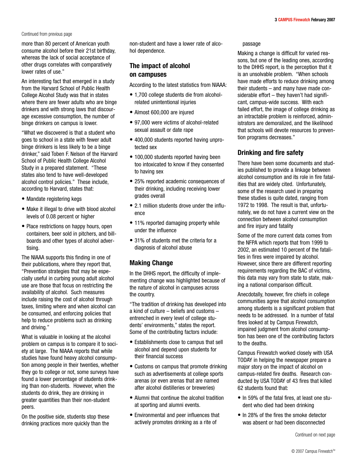## Continued from previous page

more than 80 percent of American youth consume alcohol before their 21st birthday, whereas the lack of social acceptance of other drugs correlates with comparatively lower rates of use."

An interesting fact that emerged in a study from the Harvard School of Public Health College Alcohol Study was that in states where there are fewer adults who are binge drinkers and with strong laws that discourage excessive consumption, the number of binge drinkers on campus is lower.

"What we discovered is that a student who goes to school in a state with fewer adult binge drinkers is less likely to be a binge drinker," said Toben F. Nelson of the Harvard School of Public Health College Alcohol Study in a prepared statement. "These states also tend to have well-developed alcohol control policies." These include, according to Harvard, states that:

- Mandate registering kegs
- Make it illegal to drive with blood alcohol levels of 0.08 percent or higher
- Place restrictions on happy hours, open containers, beer sold in pitchers, and billboards and other types of alcohol advertising.

The NIAAA supports this finding in one of their publications, where they report that, "Prevention strategies that may be especially useful in curbing young adult alcohol use are those that focus on restricting the availability of alcohol. Such measures include raising the cost of alcohol through taxes, limiting where and when alcohol can be consumed, and enforcing policies that help to reduce problems such as drinking and driving."

What is valuable in looking at the alcohol problem on campus is to compare it to society at large. The NIAAA reports that while studies have found heavy alcohol consumption among people in their twenties, whether they go to college or not, some surveys have found a lower percentage of students drinking than non-students. However, when the students do drink, they are drinking in greater quantities than their non-student peers.

On the positive side, students stop these drinking practices more quickly than the non-student and have a lower rate of alcohol dependence.

## **The impact of alcohol on campuses**

According to the latest statistics from NIAAA:

- 1,700 college students die from alcoholrelated unintentional injuries
- Almost 600,000 are injured
- 97,000 were victims of alcohol-related sexual assault or date rape
- 400,000 students reported having unprotected sex
- 100,000 students reported having been too intoxicated to know if they consented to having sex
- 25% reported academic consequences of their drinking, including receiving lower grades overall
- 2.1 million students drove under the influence
- 11% reported damaging property while under the influence
- 31% of students met the criteria for a diagnosis of alcohol abuse

## **Making Change**

In the DHHS report, the difficulty of implementing change was highlighted because of the nature of alcohol in campuses across the country.

"The tradition of drinking has developed into a kind of culture – beliefs and customs – entrenched in every level of college students' environments," states the report. Some of the contributing factors include:

- Establishments close to campus that sell alcohol and depend upon students for their financial success
- Customs on campus that promote drinking such as advertisements at college sports arenas (or even arenas that are named after alcohol distilleries or breweries)
- Alumni that continue the alcohol tradition at sporting and alumni events.
- Environmental and peer influences that actively promotes drinking as a rite of

## passage

Making a change is difficult for varied reasons, but one of the leading ones, according to the DHHS report, is the perception that it is an unsolvable problem. "When schools have made efforts to reduce drinking among their students – and many have made considerable effort – they haven't had significant, campus-wide success. With each failed effort, the image of college drinking as an intractable problem is reinforced, administrators are demoralized, and the likelihood that schools will devote resources to prevention programs decreases."

## **Drinking and fire safety**

There have been some documents and studies published to provide a linkage between alcohol consumption and its role in fire fatalities that are widely cited. Unfortunately, some of the research used in preparing these studies is quite dated, ranging from 1972 to 1998. The result is that, unfortunately, we do not have a current view on the connection between alcohol consumption and fire injury and fatality

Some of the more current data comes from the NFPA which reports that from 1999 to 2002, an estimated 10 percent of the fatalities in fires were impaired by alcohol. However, since there are different reporting requirements regarding the BAC of victims, this data may vary from state to state, making a national comparison difficult.

Anecdotally, however, fire chiefs in college communities agree that alcohol consumption among students is a significant problem that needs to be addressed. In a number of fatal fires looked at by Campus Firewatch, impaired judgment from alcohol consumption has been one of the contributing factors to the deaths.

Campus Firewatch worked closely with USA TODAY in helping the newspaper prepare a major story on the impact of alcohol on campus-related fire deaths. Research conducted by USA TODAY of 43 fires that killed 62 students found that:

- In 59% of the fatal fires, at least one student who died had been drinking
- In 28% of the fires the smoke detector was absent or had been disconnected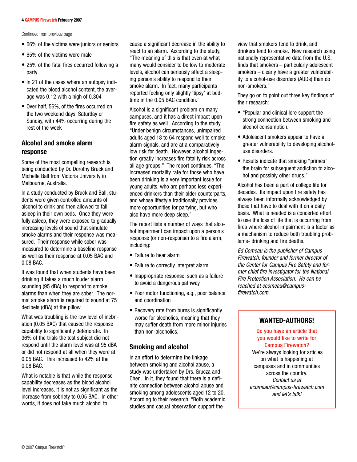## **4 CAMPUS Firewatch February 2007**

Continued from previous page

- 66% of the victims were juniors or seniors
- 65% of the victims were male
- 25% of the fatal fires occurred following a party
- In 21 of the cases where an autopsy indicated the blood alcohol content, the average was 0.12 with a high of 0.304
- Over half, 56%, of the fires occurred on the two weekend days, Saturday or Sunday, with 44% occurring during the rest of the week

## **Alcohol and smoke alarm response**

Some of the most compelling research is being conducted by Dr. Dorothy Bruck and Michelle Ball from Victoria University in Melbourne, Australia.

In a study conducted by Bruck and Ball, students were given controlled amounts of alcohol to drink and then allowed to fall asleep in their own beds. Once they were fully asleep, they were exposed to gradually increasing levels of sound that simulate smoke alarms and their response was measured. Their response while sober was measured to determine a baseline response as well as their response at 0.05 BAC and 0.08 BAC.

It was found that when students have been drinking it takes a much louder alarm sounding (95 dBA) to respond to smoke alarms than when they are sober. The normal smoke alarm is required to sound at 75 decibels (dBA) at the pillow.

What was troubling is the low level of inebriation (0.05 BAC) that caused the response capability to significantly deteriorate. In 36% of the trials the test subject did not respond until the alarm level was at 95 dBA or did not respond at all when they were at 0.05 BAC. This increased to 42% at the 0.08 BAC.

What is notable is that while the response capability decreases as the blood alcohol level increases, it is not as significant as the increase from sobriety to 0.05 BAC. In other words, it does not take much alcohol to

cause a significant decrease in the ability to react to an alarm. According to the study, "The meaning of this is that even at what many would consider to be low to moderate levels, alcohol can seriously affect a sleeping person's ability to respond to their smoke alarm. In fact, many participants reported feeling only slightly 'tipsy' at bedtime in the 0.05 BAC condition."

Alcohol is a significant problem on many campuses, and it has a direct impact upon fire safety as well. According to the study, "Under benign circumstances, unimpaired adults aged 18 to 64 respond well to smoke alarm signals, and are at a comparatively low risk for death. However, alcohol ingestion greatly increases fire fatality risk across all age groups." The report continues, "The increased mortality rate for those who have been drinking is a very important issue for young adults, who are perhaps less experienced drinkers than their older counterparts, and whose lifestyle traditionally provides more opportunities for partying, but who also have more deep sleep."

The report lists a number of ways that alcohol impairment can impact upon a person's response (or non-response) to a fire alarm, including:

- Failure to hear alarm
- Failure to correctly interpret alarm
- Inappropriate response, such as a failure to avoid a dangerous pathway
- Poor motor functioning, e.g., poor balance and coordination
- Recovery rate from burns is significantly worse for alcoholics, meaning that they may suffer death from more minor injuries than non-alcoholics.

## **Smoking and alcohol**

In an effort to determine the linkage between smoking and alcohol abuse, a study was undertaken by Drs. Grucza and Chen. In it, they found that there is a definite connection between alcohol abuse and smoking among adolescents aged 12 to 20. According to their research, "Both academic studies and casual observation support the

view that smokers tend to drink, and drinkers tend to smoke. New research using nationally representative data from the U.S. finds that smokers – particularly adolescent smokers – clearly have a greater vulnerability to alcohol-use disorders (AUDs) than do non-smokers."

They go on to point out three key findings of their research:

- "Popular and clinical lore support the strong connection between smoking and alcohol consumption.
- Adolescent smokers appear to have a greater vulnerability to developing alcoholuse disorders.
- Results indicate that smoking "primes" the brain for subsequent addiction to alcohol and possibly other drugs."

Alcohol has been a part of college life for decades. Its impact upon fire safety has always been informally acknowledged by those that have to deal with it on a daily basis. What is needed is a concerted effort to use the loss of life that is occurring from fires where alcohol impairment is a factor as a mechanism to reduce both troubling problems- drinking and fire deaths.

*Ed Comeau is the publisher of Campus Firewatch, founder and former director of the Center for Campus Fire Safety and former chief fire investigator for the National Fire Protection Association. He can be reached at ecomeau@campusfirewatch.com.*

## **WANTED-AUTHORS!**

Do you have an article that you would like to write for Campus Firewatch? We're always looking for articles on what is happening at campuses and in communities across the country. *Contact us at* 

*ecomeau@campus-firewatch.com and let's talk!*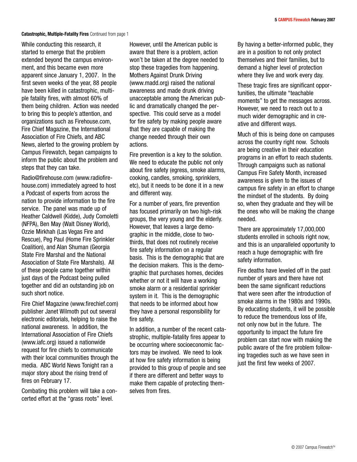## **Catastrophic, Multiple-Fatality Fires** Continued from page 1

While conducting this research, it started to emerge that the problem extended beyond the campus environment, and this became even more apparent since January 1, 2007. In the first seven weeks of the year, 88 people have been killed in catastrophic, multiple fatality fires, with almost 60% of them being children. Action was needed to bring this to people's attention, and organizations such as Firehouse.com, Fire Chief Magazine, the International Association of Fire Chiefs, and ABC News, alerted to the growing problem by Campus Firewatch, began campaigns to inform the public about the problem and steps that they can take.

Radio@firehouse.com (www.radiofirehouse.com) immediately agreed to host a Podcast of experts from across the nation to provide information to the fire service. The panel was made up of Heather Caldwell (Kidde), Judy Comoletti (NFPA), Ben May (Walt Disney World), Ozzie Mirkhah (Las Vegas Fire and Rescue), Peg Paul (Home Fire Sprinkler Coalition), and Alan Shuman (Georgia State Fire Marshal and the National Association of State Fire Marshals). All of these people came together within just days of the Podcast being pulled together and did an outstanding job on such short notice.

Fire Chief Magazine (www.firechief.com) publisher Janet Wilmoth put out several electronic editorials, helping to raise the national awareness. In addition, the International Association of Fire Chiefs (www.iafc.org) issued a nationwide request for fire chiefs to communicate with their local communities through the media. ABC World News Tonight ran a major story about the rising trend of fires on February 17.

Combating this problem will take a concerted effort at the "grass roots" level.

However, until the American public is aware that there is a problem, action won't be taken at the degree needed to stop these tragedies from happening. Mothers Against Drunk Driving (www.madd.org) raised the national awareness and made drunk driving unacceptable among the American public and dramatically changed the perspective. This could serve as a model for fire safety by making people aware that they are capable of making the change needed through their own actions.

Fire prevention is a key to the solution. We need to educate the public not only about fire safety (egress, smoke alarms, cooking, candles, smoking, sprinklers, etc), but it needs to be done it in a new and different way.

For a number of years, fire prevention has focused primarily on two high-risk groups, the very young and the elderly. However, that leaves a large demographic in the middle, close to twothirds, that does not routinely receive fire safety information on a regular basis. This is the demographic that are the decision makers. This is the demographic that purchases homes, decides whether or not it will have a working smoke alarm or a residential sprinkler system in it. This is the demographic that needs to be informed about how they have a personal responsibility for fire safety.

In addition, a number of the recent catastrophic, multiple-fatality fires appear to be occurring where socioeconomic factors may be involved. We need to look at how fire safety information is being provided to this group of people and see if there are different and better ways to make them capable of protecting themselves from fires.

By having a better-informed public, they are in a position to not only protect themselves and their families, but to demand a higher level of protection where they live and work every day.

These tragic fires are significant opportunities, the ultimate "teachable moments" to get the messages across. However, we need to reach out to a much wider demographic and in creative and different ways.

Much of this is being done on campuses across the country right now. Schools are being creative in their education programs in an effort to reach students. Through campaigns such as national Campus Fire Safety Month, increased awareness is given to the issues of campus fire safety in an effort to change the mindset of the students. By doing so, when they graduate and they will be the ones who will be making the change needed.

There are approximately 17,000,000 students enrolled in schools right now, and this is an unparalleled opportunity to reach a huge demographic with fire safety information.

Fire deaths have leveled off in the past number of years and there have not been the same significant reductions that were seen after the introduction of smoke alarms in the 1980s and 1990s. By educating students, it will be possible to reduce the tremendous loss of life, not only now but in the future. The opportunity to impact the future fire problem can start now with making the public aware of the fire problem following tragedies such as we have seen in just the first few weeks of 2007.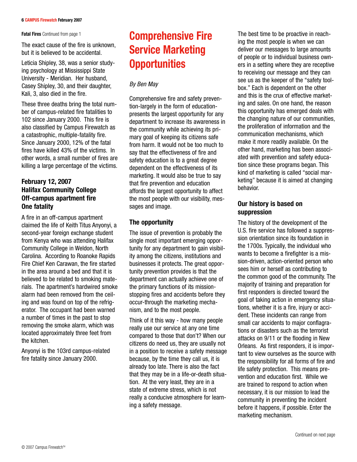**Fatal Fires** Continued from page 1

The exact cause of the fire is unknown, but it is believed to be accidental.

Leticia Shipley, 38, was a senior studying psychology at Mississippi State University - Meridian. Her husband, Casey Shipley, 30, and their daughter, Kali, 3, also died in the fire.

These three deaths bring the total number of campus-related fire fatalities to 102 since January 2000. This fire is also classified by Campus Firewatch as a catastrophic, multiple-fatality fire. Since January 2000, 12% of the fatal fires have killed 43% of the victims. In other words, a small number of fires are killing a large percentage of the victims.

## **February 12, 2007 Halifax Community College Off-campus apartment fire One fatality**

A fire in an off-campus apartment claimed the life of Keith Titus Anyonyi, a second-year foreign exchange student from Kenya who was attending Halifax Community College in Weldon, North Carolina. According to Roanoke Rapids Fire Chief Ken Carawan, the fire started in the area around a bed and that it is believed to be related to smoking materials. The apartment's hardwired smoke alarm had been removed from the ceiling and was found on top of the refrigerator. The occupant had been warned a number of times in the past to stop removing the smoke alarm, which was located approximately three feet from the kitchen.

Anyonyi is the 103rd campus-related fire fatality since January 2000.

# **Comprehensive Fire Service Marketing Opportunities**

## *By Ben May*

Comprehensive fire and safety prevention-largely in the form of educationpresents the largest opportunity for any department to increase its awareness in the community while achieving its primary goal of keeping its citizens safe from harm. It would not be too much to say that the effectiveness of fire and safety education is to a great degree dependent on the effectiveness of its marketing. It would also be true to say that fire prevention and education affords the largest opportunity to affect the most people with our visibility, messages and image.

## **The opportunity**

The issue of prevention is probably the single most important emerging opportunity for any department to gain visibility among the citizens, institutions and businesses it protects. The great opportunity prevention provides is that the department can actually achieve one of the primary functions of its missionstopping fires and accidents before they occur-through the marketing mechanism, and to the most people.

Think of it this way - how many people really use our service at any one time compared to those that don't? When our citizens do need us, they are usually not in a position to receive a safety message because, by the time they call us, it is already too late. There is also the fact that they may be in a life-or-death situation. At the very least, they are in a state of extreme stress, which is not really a conducive atmosphere for learning a safety message.

The best time to be proactive in reaching the most people is when we can deliver our messages to large amounts of people or to individual business owners in a setting where they are receptive to receiving our message and they can see us as the keeper of the "safety toolbox." Each is dependent on the other and this is the crux of effective marketing and sales. On one hand, the reason this opportunity has emerged deals with the changing nature of our communities, the proliferation of information and the communication mechanisms, which make it more readily available. On the other hand, marketing has been associated with prevention and safety education since these programs began. This kind of marketing is called "social marketing" because it is aimed at changing behavior.

## **Our history is based on suppression**

The history of the development of the U.S. fire service has followed a suppression orientation since its foundation in the 1700s. Typically, the individual who wants to become a firefighter is a mission-driven, action-oriented person who sees him or herself as contributing to the common good of the community. The majority of training and preparation for first responders is directed toward the goal of taking action in emergency situations, whether it is a fire, injury or accident. These incidents can range from small car accidents to major conflagrations or disasters such as the terrorist attacks on 9/11 or the flooding in New Orleans. As first responders, it is important to view ourselves as the source with the responsibility for all forms of fire and life safety protection. This means prevention and education first. While we are trained to respond to action when necessary, it is our mission to lead the community in preventing the incident before it happens, if possible. Enter the marketing mechanism.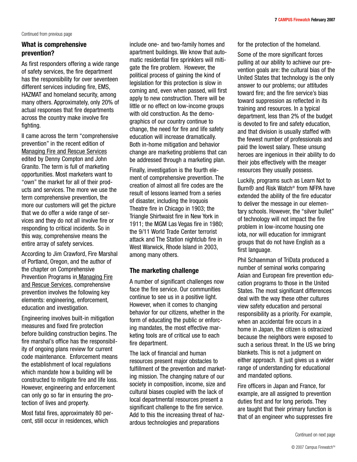## **What is comprehensive prevention?**

As first responders offering a wide range of safety services, the fire department has the responsibility for over seventeen different services including fire, EMS, HAZMAT and homeland security, among many others. Approximately, only 20% of actual responses that fire departments across the country make involve fire fighting.

II came across the term "comprehensive prevention" in the recent edition of Managing Fire and Rescue Services edited by Denny Compton and John Granito. The term is full of marketing opportunities. Most marketers want to "own" the market for all of their products and services. The more we use the term comprehensive prevention, the more our customers will get the picture that we do offer a wide range of services and they do not all involve fire or responding to critical incidents. So in this way, comprehensive means the entire array of safety services.

According to Jim Crawford, Fire Marshal of Portland, Oregon, and the author of the chapter on Comprehensive Prevention Programs in Managing Fire and Rescue Services, comprehensive prevention involves the following key elements: engineering, enforcement, education and investigation.

Engineering involves built-in mitigation measures and fixed fire protection before building construction begins. The fire marshal's office has the responsibility of ongoing plans review for current code maintenance. Enforcement means the establishment of local regulations which mandate how a building will be constructed to mitigate fire and life loss. However, engineering and enforcement can only go so far in ensuring the protection of lives and property.

Most fatal fires, approximately 80 percent, still occur in residences, which

include one- and two-family homes and apartment buildings. We know that automatic residential fire sprinklers will mitigate the fire problem. However, the political process of gaining the kind of legislation for this protection is slow in coming and, even when passed, will first apply to new construction. There will be little or no effect on low-income groups with old construction. As the demographics of our country continue to change, the need for fire and life safety education will increase dramatically. Both in-home mitigation and behavior change are marketing problems that can be addressed through a marketing plan.

Finally, investigation is the fourth element of comprehensive prevention. The creation of almost all fire codes are the result of lessons learned from a series of disaster, including the Iroquois Theatre fire in Chicago in 1903; the Triangle Shirtwaist fire in New York in 1911; the MGM Las Vegas fire in 1980; the 9/11 World Trade Center terrorist attack and The Station nightclub fire in West Warwick, Rhode Island in 2003, among many others.

## **The marketing challenge**

A number of significant challenges now face the fire service. Our communities continue to see us in a positive light. However, when it comes to changing behavior for our citizens, whether in the form of educating the public or enforcing mandates, the most effective marketing tools are of critical use to each fire department.

The lack of financial and human resources present major obstacles to fulfillment of the prevention and marketing mission. The changing nature of our society in composition, income, size and cultural biases coupled with the lack of local departmental resources present a significant challenge to the fire service. Add to this the increasing threat of hazardous technologies and preparations

for the protection of the homeland.

Some of the more significant forces pulling at our ability to achieve our prevention goals are: the cultural bias of the United States that technology is the only answer to our problems; our attitudes toward fire; and the fire service's bias toward suppression as reflected in its training and resources. In a typical department, less than 2% of the budget is devoted to fire and safety education, and that division is usually staffed with the fewest number of professionals and paid the lowest salary. These unsung heroes are ingenious in their ability to do their jobs effectively with the meager resources they usually possess.

Luckily, programs such as Learn Not to Burn® and Risk Watch® from NFPA have extended the ability of the fire educator to deliver the message in our elementary schools. However, the "silver bullet" of technology will not impact the fire problem in low-income housing one iota, nor will education for immigrant groups that do not have English as a first language.

Phil Schaenman of TriData produced a number of seminal works comparing Asian and European fire prevention education programs to those in the United States. The most significant differences deal with the way these other cultures view safety education and personal responsibility as a priority. For example, when an accidental fire occurs in a home in Japan, the citizen is ostracized because the neighbors were exposed to such a serious threat. In the US we bring blankets. This is not a judgment on either approach. It just gives us a wider range of understanding for educational and mandated options.

Fire officers in Japan and France, for example, are all assigned to prevention duties first and for long periods. They are taught that their primary function is that of an engineer who suppresses fire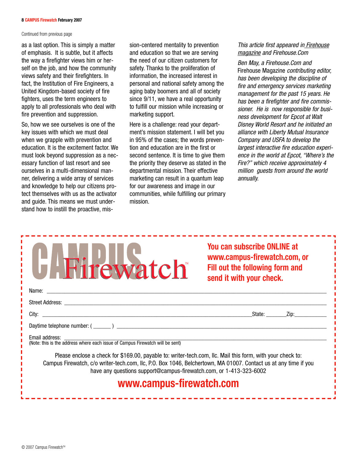### **8 CAMPUS Firewatch February 2007**

## Continued from previous page

as a last option. This is simply a matter of emphasis. It is subtle, but it affects the way a firefighter views him or herself on the job, and how the community views safety and their firefighters. In fact, the Institution of Fire Engineers, a United Kingdom-based society of fire fighters, uses the term engineers to apply to all professionals who deal with fire prevention and suppression.

So, how we see ourselves is one of the key issues with which we must deal when we grapple with prevention and education. It is the excitement factor. We must look beyond suppression as a necessary function of last resort and see ourselves in a multi-dimensional manner, delivering a wide array of services and knowledge to help our citizens protect themselves with us as the activator and guide. This means we must understand how to instill the proactive, mission-centered mentality to prevention and education so that we are serving the need of our citizen customers for safety. Thanks to the proliferation of information, the increased interest in personal and national safety among the aging baby boomers and all of society since 9/11, we have a real opportunity to fulfill our mission while increasing or marketing support.

Here is a challenge: read your department's mission statement. I will bet you in 95% of the cases; the words prevention and education are in the first or second sentence. It is time to give them the priority they deserve as stated in the departmental mission. Their effective marketing can result in a quantum leap for our awareness and image in our communities, while fulfilling our primary mission.

## *This article first appeared in Firehouse magazine and Firehouse.Com*

*Ben May, a Firehouse.Com and* Firehouse Magazine *contributing editor, has been developing the discipline of fire and emergency services marketing management for the past 15 years. He has been a firefighter and fire commissioner. He is now responsible for business development for Epcot at Walt Disney World Resort and he initiated an alliance with Liberty Mutual Insurance Company and USFA to develop the largest interactive fire education experience in the world at Epcot, "Where's the Fire?" which receive approximately 4 million guests from around the world annually.*

| <b>H</b> Firewatch                                                                                                                                                                                                                                                                                  | <b>You can subscribe ONLINE at</b><br>www.campus-firewatch.com, or<br>Fill out the following form and<br>send it with your check. |  |  |  |  |
|-----------------------------------------------------------------------------------------------------------------------------------------------------------------------------------------------------------------------------------------------------------------------------------------------------|-----------------------------------------------------------------------------------------------------------------------------------|--|--|--|--|
| Name: Name and the contract of the contract of the contract of the contract of the contract of the contract of the contract of the contract of the contract of the contract of the contract of the contract of the contract of                                                                      |                                                                                                                                   |  |  |  |  |
|                                                                                                                                                                                                                                                                                                     |                                                                                                                                   |  |  |  |  |
|                                                                                                                                                                                                                                                                                                     | _State: ________Zip:                                                                                                              |  |  |  |  |
|                                                                                                                                                                                                                                                                                                     |                                                                                                                                   |  |  |  |  |
| Email address:<br>(Note: this is the address where each issue of Campus Firewatch will be sent)                                                                                                                                                                                                     |                                                                                                                                   |  |  |  |  |
| Please enclose a check for \$169.00, payable to: writer-tech.com, Ilc. Mail this form, with your check to:<br>Campus Firewatch, c/o writer-tech.com, IIc, P.O. Box 1046, Belchertown, MA 01007. Contact us at any time if you<br>have any questions support@campus-firewatch.com, or 1-413-323-6002 |                                                                                                                                   |  |  |  |  |
| www.campus-firewatch.com                                                                                                                                                                                                                                                                            |                                                                                                                                   |  |  |  |  |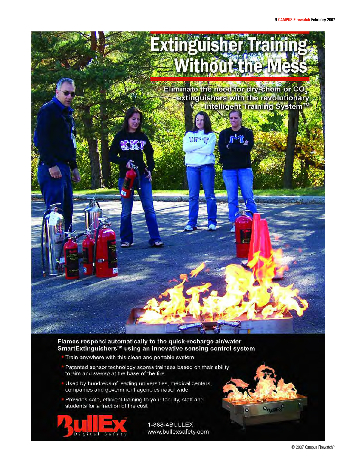

## Flames respond automatically to the quick-recharge air/water SmartExtinguishers™ using an innovative sensing control system

- Train anywhere with this clean and portable system
- Patented sensor technology scores trainees based on their ability to aim and sweep at the base of the fire
- Used by hundreds of leading universities, medical centers, companies and government agencies nationwide
- Provides safe, efficient training to your faculty, staff and students for a fraction of the cost



1-888-4BULLEX www.bullexsafety.com **ORUNEX** 

 $\bullet$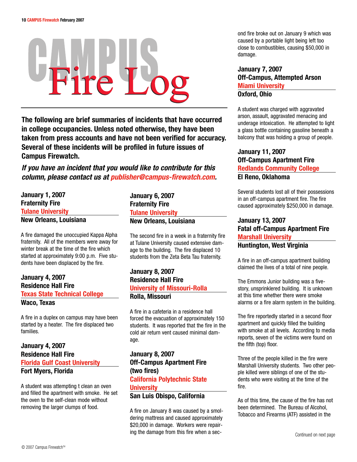# Fire Log

**The following are brief summaries of incidents that have occurred in college occupancies. Unless noted otherwise, they have been taken from press accounts and have not been verified for accuracy. Several of these incidents will be profiled in future issues of Campus Firewatch.**

*If you have an incident that you would like to contribute for this column, please contact us at publisher@campus-firewatch.com.*

**January 1, 2007 Fraternity Fire Tulane University New Orleans, Louisiana**

A fire damaged the unoccupied Kappa Alpha fraternity. All of the members were away for winter break at the time of the fire which started at approximately 9:00 p.m. Five students have been displaced by the fire.

## **January 4, 2007 Residence Hall Fire Texas State Technical College Waco, Texas**

A fire in a duplex on campus may have been started by a heater. The fire displaced two families.

## **January 4, 2007 Residence Hall Fire Florida Gulf Coast University Fort Myers, Florida**

A student was attempting t clean an oven and filled the apartment with smoke. He set the oven to the self-clean mode without removing the larger clumps of food.

**January 6, 2007 Fraternity Fire Tulane University New Orleans, Louisiana**

The second fire in a week in a fraternity fire at Tulane University caused extensive damage to the building. The fire displaced 10 students from the Zeta Beta Tau fraternity.

## **January 8, 2007 Residence Hall Fire University of Missouri-Rolla**

## **Rolla, Missouri**

A fire in a cafeteria in a residence hall forced the evacuation of approximately 150 students. It was reported that the fire in the cold air return vent caused minimal damage.

## **January 8, 2007 Off-Campus Apartment Fire (two fires) California Polytechnic State University San Luis Obispo, California**

A fire on January 8 was caused by a smoldering mattress and caused approximately \$20,000 in damage. Workers were repairing the damage from this fire when a second fire broke out on January 9 which was caused by a portable light being left too close to combustibles, causing \$50,000 in damage.

## **January 7, 2007 Off-Campus, Attempted Arson Miami University Oxford, Ohio**

A student was charged with aggravated arson, assault, aggravated menacing and underage intoxication. He attempted to light a glass bottle containing gasoline beneath a balcony that was holding a group of people.

## **January 11, 2007 Off-Campus Apartment Fire Redlands Community College El Reno, Oklahoma**

Several students lost all of their possessions in an off-campus apartment fire. The fire caused approximately \$250,000 in damage.

## **January 13, 2007 Fatal off-Campus Apartment Fire Marshall University Huntington, West Virginia**

A fire in an off-campus apartment building claimed the lives of a total of nine people.

The Emmons Junior building was a fivestory, unsprinklered building. It is unknown at this time whether there were smoke alarms or a fire alarm system in the building.

The fire reportedly started in a second floor apartment and quickly filled the building with smoke at all levels. According to media reports, seven of the victims were found on the fifth (top) floor.

Three of the people killed in the fire were Marshall University students. Two other people killed were siblings of one of the students who were visiting at the time of the fire.

As of this time, the cause of the fire has not been determined. The Bureau of Alcohol, Tobacco and Firearms (ATF) assisted in the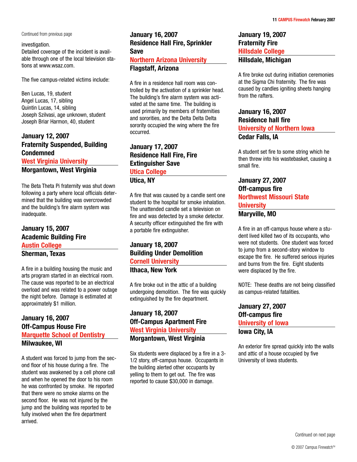Continued from previous page **January 16, 2007**

## investigation.

Detailed coverage of the incident is available through one of the local television stations at www.wsaz.com.

The five campus-related victims include:

Ben Lucas, 19, student Angel Lucas, 17, sibling Quintin Lucas, 14, sibling Joseph Szilvasi, age unknown, student Joseph Briar Harmon, 40, student

## **January 12, 2007 Fraternity Suspended, Building Condemned West Virginia University**

**Morgantown, West Virginia**

The Beta Theta Pi fraternity was shut down following a party where local officials determined that the building was overcrowded and the building's fire alarm system was inadequate.

## **January 15, 2007 Academic Building Fire Austin College Sherman, Texas**

A fire in a building housing the music and arts program started in an electrical room. The cause was reported to be an electrical overload and was related to a power outage the night before. Damage is estimated at approximately \$1 million.

## **January 16, 2007 Off-Campus House Fire Marquette School of Dentistry Milwaukee, WI**

A student was forced to jump from the second floor of his house during a fire. The student was awakened by a cell phone call and when he opened the door to his room he was confronted by smoke. He reported that there were no smoke alarms on the second floor. He was not injured by the jump and the building was reported to be fully involved when the fire department arrived.

## **Residence Hall Fire, Sprinkler Save Northern Arizona University Flagstaff, Arizona**

A fire in a residence hall room was controlled by the activation of a sprinkler head. The building's fire alarm system was activated at the same time. The building is used primarily by members of fraternities and sororities, and the Delta Delta Delta sorority occupied the wing where the fire occurred.

## **January 17, 2007 Residence Hall Fire, Fire Extinguisher Save Utica College Utica, NY**

A fire that was caused by a candle sent one student to the hospital for smoke inhalation. The unattended candle set a television on fire and was detected by a smoke detector. A security officer extinguished the fire with a portable fire extinguisher.

## **January 18, 2007 Building Under Demolition Cornell University Ithaca, New York**

A fire broke out in the attic of a building undergoing demolition. The fire was quickly extinguished by the fire department.

## **January 18, 2007 Off-Campus Apartment Fire West Virginia University Morgantown, West Virginia**

Six students were displaced by a fire in a 3- 1/2 story, off-campus house. Occupants in the building alerted other occupants by yelling to them to get out. The fire was reported to cause \$30,000 in damage.

## **January 19, 2007 Fraternity Fire Hillsdale College Hillsdale, Michigan**

A fire broke out during initiation ceremonies at the Sigma Chi fraternity. The fire was caused by candles igniting sheets hanging from the rafters.

## **January 16, 2007 Residence hall fire University of Northern Iowa Cedar Falls, IA**

A student set fire to some string which he then threw into his wastebasket, causing a small fire.

## **January 27, 2007 Off-campus fire Northwest Missouri State University Maryville, MO**

A fire in an off-campus house where a student lived killed two of its occupants, who were not students. One student was forced to jump from a second-story window to escape the fire. He suffered serious injuries and burns from the fire. Eight students were displaced by the fire.

NOTE: These deaths are not being classified as campus-related fatalities.

**January 27, 2007 Off-campus fire University of Iowa Iowa City, IA**

An exterior fire spread quickly into the walls and attic of a house occupied by five University of Iowa students.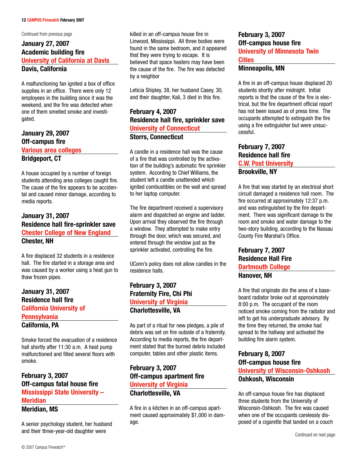Continued from previous page

## **January 27, 2007 Academic building fire University of California at Davis Davis, California**

A malfunctioning fan ignited a box of office supplies in an office. There were only 12 employees in the building since it was the weekend, and the fire was detected when one of them smelled smoke and investigated.

## **January 29, 2007 Off-campus fire Various area colleges Bridgeport, CT**

A house occupied by a number of foreign students attending area colleges caught fire. The cause of the fire appears to be accidental and caused minor damage, according to media reports.

## **January 31, 2007 Residence hall fire-sprinkler save Chester College of New England Chester, NH**

A fire displaced 32 students in a residence hall. The fire started in a storage area and was caused by a worker using a heat gun to thaw frozen pipes.

## **January 31, 2007 Residence hall fire California University of Pennsylvania California, PA**

Smoke forced the evacuation of a residence hall shortly after 11:30 a.m. A heat pump malfunctioned and filled several floors with smoke.

## **February 3, 2007 Off-campus fatal house fire Mississippi State University – Meridian**

**Meridian, MS**

A senior psychology student, her husband and their three-year-old daughter were

killed in an off-campus house fire in Linwood, Mississippi. All three bodies were found in the same bedroom, and it appeared that they were trying to escape. It is believed that space heaters may have been the cause of the fire. The fire was detected by a neighbor

Leticia Shipley, 38, her husband Casey, 30, and their daughter, Kali, 3 died in this fire.

**February 4, 2007 Residence hall fire, sprinkler save University of Connecticut Storrs, Connecticut**

A candle in a residence hall was the cause of a fire that was controlled by the activation of the building's automatic fire sprinkler system. According to Chief Williams, the student left a candle unattended which ignited combustibles on the wall and spread to her laptop computer.

The fire department received a supervisory alarm and dispatched an engine and ladder. Upon arrival they observed the fire through a window. They attempted to make entry through the door, which was secured, and entered through the window just as the sprinkler activated, controlling the fire.

UConn's policy does not allow candles in the residence halls.

## **February 3, 2007 Fraternity Fire, Chi Phi University of Virginia Charlottesville, VA**

As part of a ritual for new pledges, a pile of debris was set on fire outside of a fraternity. According to media reports, the fire department stated that the burned debris included computer, tables and other plastic items.

## **February 3, 2007 Off-campus apartment fire University of Virginia Charlottesville, VA**

A fire in a kitchen in an off-campus apartment caused approximately \$1,000 in damage.

## **February 3, 2007 Off-campus house fire University of Minnesota Twin Cities**

## **Minneapolis, MN**

A fire in an off-campus house displaced 20 students shortly after midnight. Initial reports is that the cause of the fire is electrical, but the fire department official report has not been issued as of press time. The occupants attempted to extinguish the fire using a fire extinguisher but were unsuccessful.

## **February 7, 2007 Residence hall fire C.W. Post University Brookville, NY**

A fire that was started by an electrical short circuit damaged a residence hall room. The fire occurred at approximately 12:37 p.m. and was extinguished by the fire department. There was significant damage to the room and smoke and water damage to the two-story building, according to the Nassau County Fire Marshal's Office.

## **February 7, 2007 Residence Hall Fire Dartmouth College Hanover, NH**

A fire that originate din the area of a baseboard radiator broke out at approximately 8:00 p.m. The occupant of the room noticed smoke coming from the radiator and left to get his undergraduate advisory. By the time they returned, the smoke had spread to the hallway and activated the building fire alarm system.

## **February 8, 2007 Off-campus house fire University of Wisconsin-Oshkosh Oshkosh, Wisconsin**

An off-campus house fire has displaced three students from the University of Wisconsin-Oshkosh. The fire was caused when one of the occupants carelessly disposed of a cigarette that landed on a couch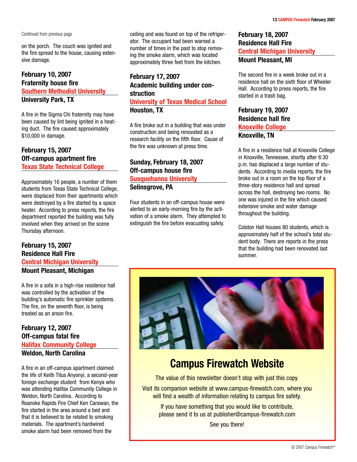on the porch. The couch was ignited and the fire spread to the house, causing extensive damage.

## **February 10, 2007 Fraternity house fire Southern Methodist University University Park, TX**

A fire in the Sigma Chi fraternity may have been caused by lint being ignited in a heating duct. The fire caused approximately \$10,000 in damage.

## **February 15, 2007 Off-campus apartment fire Texas State Technical College**

Approximately 16 people, a number of them students from Texas State Technical College, were displaced from their apartments which were destroyed by a fire started by a space heater. According to press reports, the fire department reported the building was fully involved when they arrived on the scene Thursday afternoon.

## **February 15, 2007 Residence Hall Fire Central Michigan University Mount Pleasant, Michigan**

A fire in a sofa in a high-rise residence hall was controlled by the activation of the building's automatic fire sprinkler systems. The fire, on the seventh floor, is being treated as an arson fire.

## **February 12, 2007 Off-campus fatal fire Halifax Community College Weldon, North Carolina**

A fire in an off-campus apartment claimed the life of Keith Titus Anyonyi, a second-year foreign exchange student from Kenya who was attending Halifax Community College in Weldon, North Carolina. According to Roanoke Rapids Fire Chief Ken Carawan, the fire started in the area around a bed and that it is believed to be related to smoking materials. The apartment's hardwired smoke alarm had been removed from the

Continued from previous page **February 18, 2007 Celling and was found on top of the refriger- February 18, 2007** ator. The occupant had been warned a number of times in the past to stop removing the smoke alarm, which was located approximately three feet from the kitchen.

## **February 17, 2007 Academic building under construction**

**University of Texas Medical School Houston, TX**

A fire broke out in a building that was under construction and being renovated as a research facility on the fifth floor. Cause of the fire was unknown at press time.

## **Sunday, February 18, 2007 Off-campus house fire Susquehanna University Selinsgrove, PA**

Four students in an off-campus house were alerted to an early-morning fire by the activation of a smoke alarm. They attempted to extinguish the fire before evacuating safely.

## **Residence Hall Fire Central Michigan University Mount Pleasant, MI**

The second fire in a week broke out in a residence hall on the sixth floor of Wheeler Hall. According to press reports, the fire started in a trash bag.

## **February 19, 2007 Residence hall fire Knoxville College Knoxville, TN**

A fire in a residence hall at Knoxville College in Knoxville, Tennessee, shortly after 6:30 p.m. has displaced a large number of students. According to media reports, the fire broke out in a room on the top floor of a three-story residence hall and spread across the hall, destroying two rooms. No one was injured in the fire which caused extensive smoke and water damage throughout the building.

Colston Hall houses 80 students, which is approximately half of the school's total student body. There are reports in the press that the building had been renovated last summer.



# **Campus Firewatch Website**

The value of this newsletter doesn't stop with just this copy.

Visit its companion website at www.campus-firewatch.com, where you will find a wealth of information relating to campus fire safety.

If you have something that you would like to contribute, please send it to us at publisher@campus-firewatch.com

See you there!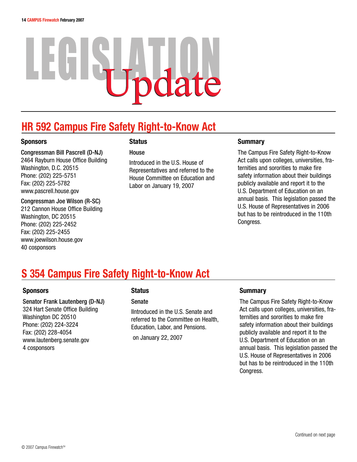# EGSHOOR

# **HR 592 Campus Fire Safety Right-to-Know Act**

## **Sponsors**

Congressman Bill Pascrell (D-NJ) 2464 Rayburn House Office Building Washington, D.C. 20515 Phone: (202) 225-5751 Fax: (202) 225-5782 www.pascrell.house.gov

Congressman Joe Wilson (R-SC) 212 Cannon House Office Building Washington, DC 20515 Phone: (202) 225-2452 Fax: (202) 225-2455 www.joewilson.house.gov 40 cosponsors

## **Status**

**House** 

Introduced in the U.S. House of Representatives and referred to the House Committee on Education and Labor on January 19, 2007

## **Summary**

The Campus Fire Safety Right-to-Know Act calls upon colleges, universities, fraternities and sororities to make fire safety information about their buildings publicly available and report it to the U.S. Department of Education on an annual basis. This legislation passed the U.S. House of Representatives in 2006 but has to be reintroduced in the 110th Congress.

# **S 354 Campus Fire Safety Right-to-Know Act**

## **Sponsors**

Senator Frank Lautenberg (D-NJ) 324 Hart Senate Office Building Washington DC 20510 Phone: (202) 224-3224 Fax: (202) 228-4054 www.lautenberg.senate.gov 4 cosponsors

## **Status**

Senate

IIntroduced in the U.S. Senate and referred to the Committee on Health, Education, Labor, and Pensions.

on January 22, 2007

## **Summary**

The Campus Fire Safety Right-to-Know Act calls upon colleges, universities, fraternities and sororities to make fire safety information about their buildings publicly available and report it to the U.S. Department of Education on an annual basis. This legislation passed the U.S. House of Representatives in 2006 but has to be reintroduced in the 110th Congress.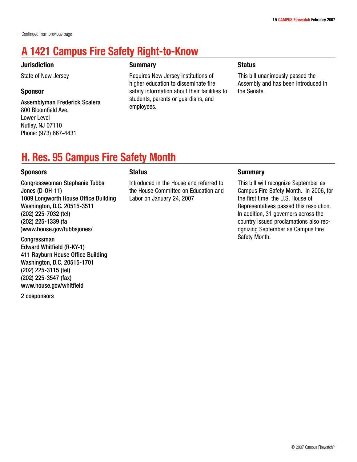# **A 1421 Campus Fire Safety Right-to-Know**

## **Jurisdiction**

State of New Jersey

## **Sponsor**

Assemblyman Frederick Scalera 800 Bloomfield Ave. Lower Level Nutley, NJ 07110 Phone: (973) 667-4431

## **Summary**

Requires New Jersey institutions of higher education to disseminate fire safety information about their facilities to students, parents or guardians, and employees.

## **Status**

This bill unanimously passed the Assembly and has been introduced in the Senate.

# **H. Res. 95 Campus Fire Safety Month**

## **Sponsors**

Congresswoman Stephanie Tubbs Jones (D-OH-11) 1009 Longworth House Office Building Washington, D.C. 20515-3511 (202) 225-7032 (tel) (202) 225-1339 (fa )www.house.gov/tubbsjones/

Congressman Edward Whitfield (R-KY-1) 411 Rayburn House Office Building Washington, D.C. 20515-1701 (202) 225-3115 (tel) (202) 225-3547 (fax) www.house.gov/whitfield

2 cosponsors

## **Status**

Introduced in the House and referred to the House Committee on Education and Labor on January 24, 2007

## **Summary**

This bill will recognize September as Campus Fire Safety Month. In 2006, for the first time, the U.S. House of Representatives passed this resolution. In addition, 31 governors across the country issued proclamations also recognizing September as Campus Fire Safety Month.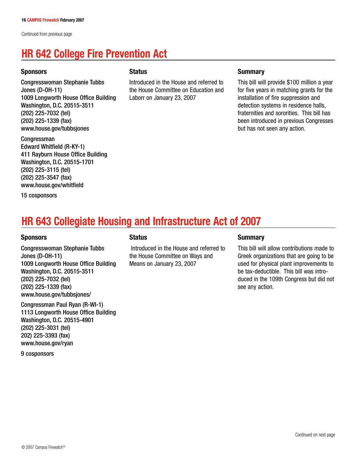Continued from previous page

# **HR 642 College Fire Prevention Act**

## **Sponsors**

Congresswoman Stephanie Tubbs Jones (D-OH-11) 1009 Longworth House Office Building Washington, D.C. 20515-3511 (202) 225-7032 (tel) (202) 225-1339 (fax) www.house.gov/tubbsjones

Congressman Edward Whitfield (R-KY-1) 411 Rayburn House Office Building Washington, D.C. 20515-1701 (202) 225-3115 (tel) (202) 225-3547 (fax) www.house.gov/whitfield

15 cosponsors

## **Status**

Introduced in the House and referred to the House Committee on Education and Laborr on January 23, 2007

## **Summary**

This bill will provide \$100 million a year for five years in matching grants for the installation of fire suppression and detection systems in residence halls, fraternities and sororities. This bill has been introduced in previous Congresses but has not seen any action.

# **HR 643 Collegiate Housing and Infrastructure Act of 2007**

## **Sponsors**

Congresswoman Stephanie Tubbs Jones (D-OH-11) 1009 Longworth House Office Building Washington, D.C. 20515-3511 (202) 225-7032 (tel) (202) 225-1339 (fax) www.house.gov/tubbsjones/

Congressman Paul Ryan (R-WI-1) 1113 Longworth House Office Building Washington, D.C. 20515-4901 (202) 225-3031 (tel) 202) 225-3393 (fax) www.house.gov/ryan

9 cosponsors

## **Status**

Introduced in the House and referred to the House Committee on Ways and Means on January 23, 2007

## **Summary**

This bill will allow contributions made to Greek organizations that are going to be used for physical plant improvements to be tax-deductible. This bill was introduced in the 109th Congress but did not see any action.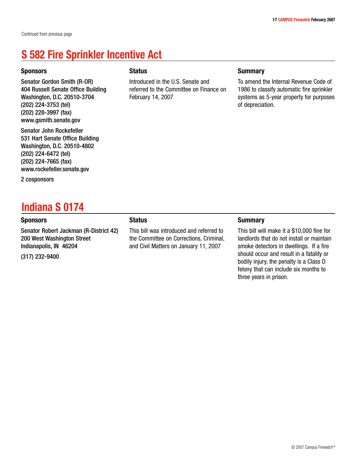## **S 582 Fire Sprinkler Incentive Act**

## **Sponsors**

Senator Gordon Smith (R-OR) 404 Russell Senate Office Building Washington, D.C. 20510-3704 (202) 224-3753 (tel) (202) 228-3997 (fax) www.gsmith.senate.gov

Senator John Rockefeller 531 Hart Senate Office Building Washington, D.C. 20510-4802 (202) 224-6472 (tel) (202) 224-7665 (fax) www.rockefeller.senate.gov

2 cosponsors

## **Indiana S 0174**

## **Sponsors**

Senator Robert Jackman (R-District 42) 200 West Washington Street Indianapolis, IN 46204

(317) 232-9400

## **Status**

Introduced in the U.S. Senate and referred to the Committee on Finance on February 14, 2007

## **Summary**

To amend the Internal Revenue Code of 1986 to classify automatic fire sprinkler systems as 5-year property for purposes of depreciation.

## **Status**

This bill was introduced and referred to the Committee on Corrections, Criminal, and Civil Matters on January 11, 2007

## **Summary**

This bill will make it a \$10,000 fine for landlords that do not install or maintain smoke detectors in dwellings. If a fire should occur and result in a fatality or bodily injury, the penalty is a Class D felony that can include six months to three years in prison.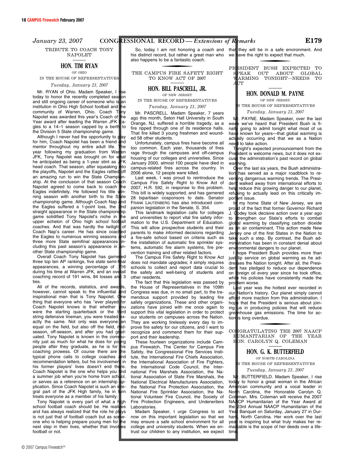TRIBUTE TO COACH TONY NAPOLET

### **HON. TIM RYAN** OF OHIO

IN THE HOUSE OF REPRESENTATIVES

*Tuesday, January 23, 2007* 

Mr. RYAN of Ohio. Madam Speaker, I today to honor the recently completed season and still ongoing career of someone who is an institution in Ohio High School football and the community of Warren, Ohio. Coach Tony Napolet was awarded this year's Coach of the Year award after leading the Warren JFK Eagles to a 14–1 season capped by a berth to the Division 5 State championship game.

Although I never had the opportunity to  $\phi$ for him, Coach Napolet has been a friend and mentor throughout my entire adult life. The year following my graduation from Warren JFK, Tony Napolet was brought on for what he anticipated as being a 1-year stint as JFK head coach. That season, after squeaking into<br>the playoffs. Napolet and the Eagles rattled off the playoffs, Napolet and the Eagles rattled an amazing run to win the State Champion-<br>ship. At the conclusion of that season Coach ship. At the conclusion of that season Co. Napolet agreed to come back to coach the Eagles indefinitely. He followed his title winning season with another birth to the State championship game. Although Coach Nap and the Eagles suffered a 1-point loss, the 2nd straight appearance in the State championship game solidified Tony Napolet's niche in the<br>upper echelon of Ohio high school football upper echelon of Ohio high school foot coaches. And that was hardly the twilight of Coach Nap's career. He has since coached the Eagles to numerous winning seasons and three more State semifinal appearances including this past season's appearance in another State championship game.

Overall Coach Tony Napolet has garnered three top ten AP rankings, five state semi-final<br>appearances a winning perceptage of 716 appearances, a winning percentage of during his time at Warren JFK, and an overall coaching record of 191 wins, 84 losses and 3 ties.

All of the records, statistics, and awa however, cannot speak to the influential and inspirational man that is Tony Napolet. One thing that everyone who has "ever played Coach Napolet knows is that whether you were the starting quarterback or the third string defensive lineman, you were treated exactly the same. Not only was everyone an equal on the field but also off the field midequal on the field, but also off the field, n season, off-season, and after you had graduated. Tony Napolet is known in the community just as much for what he does for young people after they graduate, as he is for his coaching prowess. Of course there are the typical phone calls to college coaches and<br>recommendation letters, but his involvement in recommendation letters, but his involvement his former players' lives doesn't end there. Coach Napolet is the one who helps you find a summer job when you're home from school, or serves as a reference on an internship plication. Since Coach Napolet is such an in gral part of the JFK High family, he in turn treats everyone as a member of his family.

Tony Napolet is every part of what a high<br>hool football coach should be. He realizes school football coach should be. He reali and has always realized that the role he plays is not just that of football coach but as someone who is helping prepare young men for the next step in their lives, whether that involves football or not. Tony Napolet is every part of what a high Fire Protection Engineers, and Underwriters NAACP Hum school football coach should be. He realizes Laboratories. The and has always realized that the role he plays Madam Speaker,

So, today I am not honoring a coach and that his distinct record, but rather a great man who also happens to be a fantastic coach.

for the state of the state of the THE CAMPUS FIRE SAFETY RIGHT TO KNOW ACT OF 2007

## **HON. BILL PASCRELL, JR.**

OF NEW JERSEY IN THE HOUSE OF REPRESENTATIVES

*Tuesday, January 23, 2007* 

Mr. PASCRELL. Madam Speaker, 7 years ago this month, Seton Hall University in South Orange, NJ, suffered a horrible tragedy, as a fire ripped through one of its residence halls. That fire killed 3 young freshmen and wounded 58 other students.

Unfortunately, campus fires have become all too common. Each year, thousands of fires rage through the campuses and off-campus housing of our colleges and universities. Since January 2000, almost 100 people have died in campus-related fires across the country. In 2006 alone, 12 people were killed.

Last week, I was proud to reintroduce the Campus Fire Safety Right to Know Act of 2007, H.R. 592, in response to this problem. This bill is widely supported, and has garnered 28 bipartisan cosponsors to date. Senator FRANK LAUTENBERG has also introduced companion legislation in the Senate, S. 354.

This landmark legislation calls for colleges and universities to report vital fire safety information to the U.S. Department of Education. This will allow prospective students and their parents to make informed decisions regarding a fire-safe school based on criteria such as the installation of automatic fire sprinkler systems, automatic fire alarm systems, fire prevention training and other related factors.

The Campus Fire Safety Right to Know Act does not mandate upgrades; it simply requires schools to collect and report data crucial to the safety and well-being of students and other residents.

The fact that this legislation was passed by the House of Representatives in the 109th Congress was due, in no small part, to the tremendous support provided by leading fire safety organizations. These and other organizations have joined with me once again to support this vital legislation in order to protect our students on campuses across the Nation. They are working tirelessly every day to improve fire safety for our citizens, and I want to recognize and commend them for their support and their leadership.

These fourteen organizations include Campus Firewatch, The Center for Campus Fire Safety, the Congressional Fire Services Institute, the International Fire Chiefs Association, the International Association of Fire Fighters, the International Code Council, the International Fire Marshals Association, the National Association of State Fire Marshals, the National Electrical Manufacturers Association, the National Fire Protection Association, the National Fire Sprinkler Association, the National Volunteer Fire Council, the Society of Fire Protection Engineers, and Underwriters Laboratories.

Madam Speaker, I urge Congress to act now on this important legislation so that we may ensure a safe school environment for all college and university students. When we entrust our children to any institution, we expect

they will be in a safe environment. And we have the right to expect that much. for the control of the control of

PRESIDENT BUSH EXPECTED TO PEAK OUT ABOUT GLOBAL WARMING TONIGHT**—**NEEDS TO YT.

## **HON. DONALD M. PAYNE**

OF NEW JERSEY

IN THE HOUSE OF REPRESENTATIVES

*Tuesday, January 23, 2007* 

Mr. PAYNE. Madam Speaker, over the last week we've heard that President Bush is finally going to admit tonight what most of us have known for years—that global warming is actually occurring and that we as a Nation need to take action.

Tonight's expected pronouncement from the<br>President is welcome news, but it does not exident is welcome news, but it does not excuse the administration's past record on global<br>warming. war

Over the last six years, the Bush administration has served as a major roadblock to retion has served as a major roadblock to reversing dangerous warming trends. The Presing dangerous warming trends. The President walked away from international efforts to help reduce this growing danger to our planet, refusing to actually lead on this critically important issue.<br>In my hom

In my home State of New Jersey, we are proud of the fact that former Governor Richard d of the fact that former Governor Richard J. Codey took decisive action over a year ago to strengthen our State's efforts to combat global warming by classifying carbon dioxide as an air contaminant. This action made New n air contaminant. This action made New Jersey one of the first States in the Nation to take such a step. By contrast, the Bush ad-<br>ministration has been in constant denial about stration has been in constant denial about environmental dangers to our planet.

hope President Bush provides more than just lip service on global warming as he addresses the Nation tonight. After all, the Presihas pledged to reduce our dependence on foreign oil every year since he took office, while his policies have consistently made the problem worse. lem worse.

Last year was the hottest ever recorded in<br>
our Nation's history. Our planet simply cannot Nation's history. Our planet simply cannot afford more inaction from this administration. I hope that the President is serious about join-<br>ing us in producing policies that will reduce  $\mu$ s in producing policies that will reduce greenhouse gas emissions. The time for action is long overdue.

CONGRATULATING THE 2007 NAACP HUMANITARIAN OF THE YEAR HON. CAROLYN Q. COLEMAN

<u>for the contract of the contract of</u>

**HON. G. K. BUTTERFIELD** 

OF NORTH CAROLINA THE HOUSE OF REPRESENTATIVES

*Tuesday, January 23, 2007* 

Mr. BUTTERFIELD. Madam Speaker, I rise<br>today to honor a great woman in the African  $\mathbf y$  to honor a great woman in the African American community and a vocal leader in North Carolina, the Honorable Carolyn Q. man. Mrs. Coleman will receive the 2007 NAACP Humanitarian of the Year Award at the 23rd Annual NAACP Humanitarian of the 23rd Annual NAACP Humanitarian of the Year Banquet on Saturday, January 27 in Dur-<br>ham, North Carolina. Her work over the last , North Carolina. Her work over the last year is inspiring but what truly makes her remarkable is the scope of her deeds over a lifetime